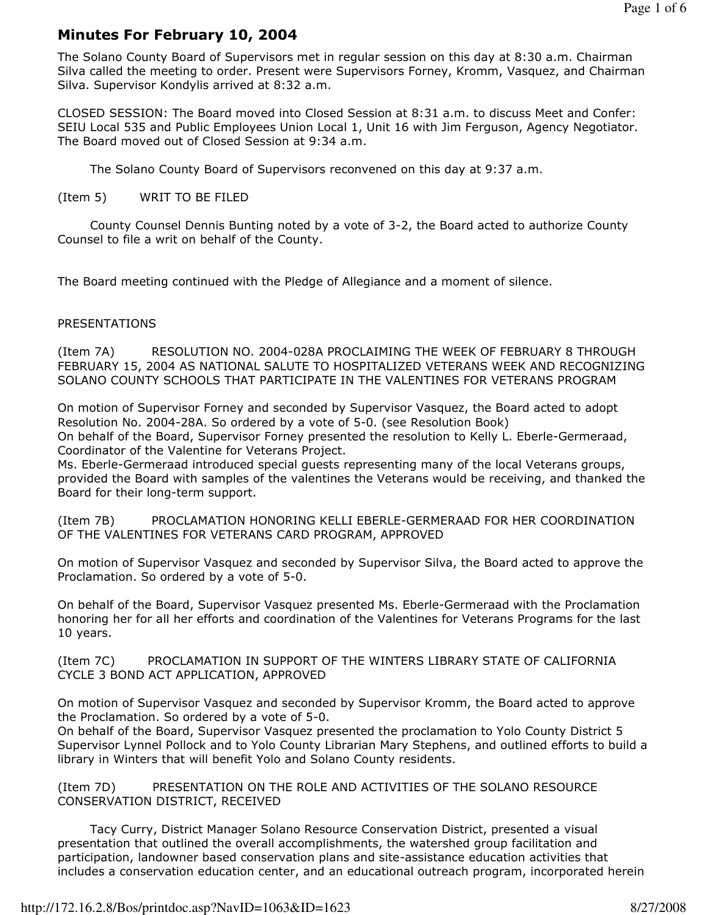# Minutes For February 10, 2004

The Solano County Board of Supervisors met in regular session on this day at 8:30 a.m. Chairman Silva called the meeting to order. Present were Supervisors Forney, Kromm, Vasquez, and Chairman Silva. Supervisor Kondylis arrived at 8:32 a.m.

CLOSED SESSION: The Board moved into Closed Session at 8:31 a.m. to discuss Meet and Confer: SEIU Local 535 and Public Employees Union Local 1, Unit 16 with Jim Ferguson, Agency Negotiator. The Board moved out of Closed Session at 9:34 a.m.

The Solano County Board of Supervisors reconvened on this day at 9:37 a.m.

#### (Item 5) WRIT TO BE FILED

 County Counsel Dennis Bunting noted by a vote of 3-2, the Board acted to authorize County Counsel to file a writ on behalf of the County.

The Board meeting continued with the Pledge of Allegiance and a moment of silence.

#### PRESENTATIONS

(Item 7A) RESOLUTION NO. 2004-028A PROCLAIMING THE WEEK OF FEBRUARY 8 THROUGH FEBRUARY 15, 2004 AS NATIONAL SALUTE TO HOSPITALIZED VETERANS WEEK AND RECOGNIZING SOLANO COUNTY SCHOOLS THAT PARTICIPATE IN THE VALENTINES FOR VETERANS PROGRAM

On motion of Supervisor Forney and seconded by Supervisor Vasquez, the Board acted to adopt Resolution No. 2004-28A. So ordered by a vote of 5-0. (see Resolution Book) On behalf of the Board, Supervisor Forney presented the resolution to Kelly L. Eberle-Germeraad, Coordinator of the Valentine for Veterans Project.

Ms. Eberle-Germeraad introduced special guests representing many of the local Veterans groups, provided the Board with samples of the valentines the Veterans would be receiving, and thanked the Board for their long-term support.

(Item 7B) PROCLAMATION HONORING KELLI EBERLE-GERMERAAD FOR HER COORDINATION OF THE VALENTINES FOR VETERANS CARD PROGRAM, APPROVED

On motion of Supervisor Vasquez and seconded by Supervisor Silva, the Board acted to approve the Proclamation. So ordered by a vote of 5-0.

On behalf of the Board, Supervisor Vasquez presented Ms. Eberle-Germeraad with the Proclamation honoring her for all her efforts and coordination of the Valentines for Veterans Programs for the last 10 years.

(Item 7C) PROCLAMATION IN SUPPORT OF THE WINTERS LIBRARY STATE OF CALIFORNIA CYCLE 3 BOND ACT APPLICATION, APPROVED

On motion of Supervisor Vasquez and seconded by Supervisor Kromm, the Board acted to approve the Proclamation. So ordered by a vote of 5-0.

On behalf of the Board, Supervisor Vasquez presented the proclamation to Yolo County District 5 Supervisor Lynnel Pollock and to Yolo County Librarian Mary Stephens, and outlined efforts to build a library in Winters that will benefit Yolo and Solano County residents.

(Item 7D) PRESENTATION ON THE ROLE AND ACTIVITIES OF THE SOLANO RESOURCE CONSERVATION DISTRICT, RECEIVED

 Tacy Curry, District Manager Solano Resource Conservation District, presented a visual presentation that outlined the overall accomplishments, the watershed group facilitation and participation, landowner based conservation plans and site-assistance education activities that includes a conservation education center, and an educational outreach program, incorporated herein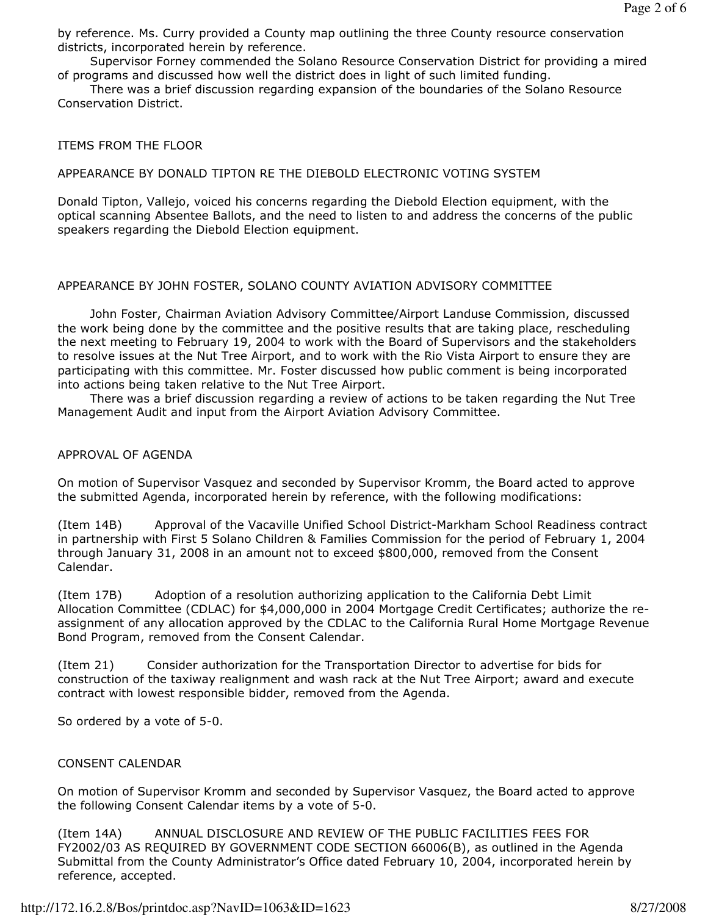by reference. Ms. Curry provided a County map outlining the three County resource conservation districts, incorporated herein by reference.

 Supervisor Forney commended the Solano Resource Conservation District for providing a mired of programs and discussed how well the district does in light of such limited funding.

 There was a brief discussion regarding expansion of the boundaries of the Solano Resource Conservation District.

### ITEMS FROM THE FLOOR

### APPEARANCE BY DONALD TIPTON RE THE DIEBOLD ELECTRONIC VOTING SYSTEM

Donald Tipton, Vallejo, voiced his concerns regarding the Diebold Election equipment, with the optical scanning Absentee Ballots, and the need to listen to and address the concerns of the public speakers regarding the Diebold Election equipment.

# APPEARANCE BY JOHN FOSTER, SOLANO COUNTY AVIATION ADVISORY COMMITTEE

 John Foster, Chairman Aviation Advisory Committee/Airport Landuse Commission, discussed the work being done by the committee and the positive results that are taking place, rescheduling the next meeting to February 19, 2004 to work with the Board of Supervisors and the stakeholders to resolve issues at the Nut Tree Airport, and to work with the Rio Vista Airport to ensure they are participating with this committee. Mr. Foster discussed how public comment is being incorporated into actions being taken relative to the Nut Tree Airport.

 There was a brief discussion regarding a review of actions to be taken regarding the Nut Tree Management Audit and input from the Airport Aviation Advisory Committee.

### APPROVAL OF AGENDA

On motion of Supervisor Vasquez and seconded by Supervisor Kromm, the Board acted to approve the submitted Agenda, incorporated herein by reference, with the following modifications:

(Item 14B) Approval of the Vacaville Unified School District-Markham School Readiness contract in partnership with First 5 Solano Children & Families Commission for the period of February 1, 2004 through January 31, 2008 in an amount not to exceed \$800,000, removed from the Consent Calendar.

(Item 17B) Adoption of a resolution authorizing application to the California Debt Limit Allocation Committee (CDLAC) for \$4,000,000 in 2004 Mortgage Credit Certificates; authorize the reassignment of any allocation approved by the CDLAC to the California Rural Home Mortgage Revenue Bond Program, removed from the Consent Calendar.

(Item 21) Consider authorization for the Transportation Director to advertise for bids for construction of the taxiway realignment and wash rack at the Nut Tree Airport; award and execute contract with lowest responsible bidder, removed from the Agenda.

So ordered by a vote of 5-0.

# CONSENT CALENDAR

On motion of Supervisor Kromm and seconded by Supervisor Vasquez, the Board acted to approve the following Consent Calendar items by a vote of 5-0.

(Item 14A) ANNUAL DISCLOSURE AND REVIEW OF THE PUBLIC FACILITIES FEES FOR FY2002/03 AS REQUIRED BY GOVERNMENT CODE SECTION 66006(B), as outlined in the Agenda Submittal from the County Administrator's Office dated February 10, 2004, incorporated herein by reference, accepted.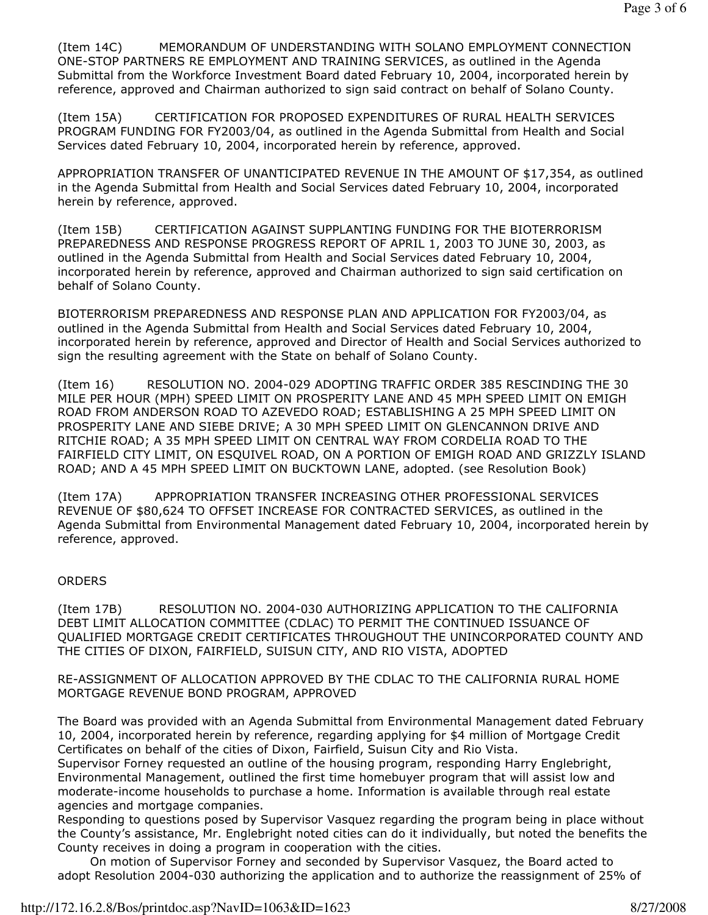(Item 14C) MEMORANDUM OF UNDERSTANDING WITH SOLANO EMPLOYMENT CONNECTION ONE-STOP PARTNERS RE EMPLOYMENT AND TRAINING SERVICES, as outlined in the Agenda Submittal from the Workforce Investment Board dated February 10, 2004, incorporated herein by reference, approved and Chairman authorized to sign said contract on behalf of Solano County.

(Item 15A) CERTIFICATION FOR PROPOSED EXPENDITURES OF RURAL HEALTH SERVICES PROGRAM FUNDING FOR FY2003/04, as outlined in the Agenda Submittal from Health and Social Services dated February 10, 2004, incorporated herein by reference, approved.

APPROPRIATION TRANSFER OF UNANTICIPATED REVENUE IN THE AMOUNT OF \$17,354, as outlined in the Agenda Submittal from Health and Social Services dated February 10, 2004, incorporated herein by reference, approved.

(Item 15B) CERTIFICATION AGAINST SUPPLANTING FUNDING FOR THE BIOTERRORISM PREPAREDNESS AND RESPONSE PROGRESS REPORT OF APRIL 1, 2003 TO JUNE 30, 2003, as outlined in the Agenda Submittal from Health and Social Services dated February 10, 2004, incorporated herein by reference, approved and Chairman authorized to sign said certification on behalf of Solano County.

BIOTERRORISM PREPAREDNESS AND RESPONSE PLAN AND APPLICATION FOR FY2003/04, as outlined in the Agenda Submittal from Health and Social Services dated February 10, 2004, incorporated herein by reference, approved and Director of Health and Social Services authorized to sign the resulting agreement with the State on behalf of Solano County.

(Item 16) RESOLUTION NO. 2004-029 ADOPTING TRAFFIC ORDER 385 RESCINDING THE 30 MILE PER HOUR (MPH) SPEED LIMIT ON PROSPERITY LANE AND 45 MPH SPEED LIMIT ON EMIGH ROAD FROM ANDERSON ROAD TO AZEVEDO ROAD; ESTABLISHING A 25 MPH SPEED LIMIT ON PROSPERITY LANE AND SIEBE DRIVE; A 30 MPH SPEED LIMIT ON GLENCANNON DRIVE AND RITCHIE ROAD; A 35 MPH SPEED LIMIT ON CENTRAL WAY FROM CORDELIA ROAD TO THE FAIRFIELD CITY LIMIT, ON ESQUIVEL ROAD, ON A PORTION OF EMIGH ROAD AND GRIZZLY ISLAND ROAD; AND A 45 MPH SPEED LIMIT ON BUCKTOWN LANE, adopted. (see Resolution Book)

(Item 17A) APPROPRIATION TRANSFER INCREASING OTHER PROFESSIONAL SERVICES REVENUE OF \$80,624 TO OFFSET INCREASE FOR CONTRACTED SERVICES, as outlined in the Agenda Submittal from Environmental Management dated February 10, 2004, incorporated herein by reference, approved.

#### **ORDERS**

(Item 17B) RESOLUTION NO. 2004-030 AUTHORIZING APPLICATION TO THE CALIFORNIA DEBT LIMIT ALLOCATION COMMITTEE (CDLAC) TO PERMIT THE CONTINUED ISSUANCE OF QUALIFIED MORTGAGE CREDIT CERTIFICATES THROUGHOUT THE UNINCORPORATED COUNTY AND THE CITIES OF DIXON, FAIRFIELD, SUISUN CITY, AND RIO VISTA, ADOPTED

RE-ASSIGNMENT OF ALLOCATION APPROVED BY THE CDLAC TO THE CALIFORNIA RURAL HOME MORTGAGE REVENUE BOND PROGRAM, APPROVED

The Board was provided with an Agenda Submittal from Environmental Management dated February 10, 2004, incorporated herein by reference, regarding applying for \$4 million of Mortgage Credit Certificates on behalf of the cities of Dixon, Fairfield, Suisun City and Rio Vista.

Supervisor Forney requested an outline of the housing program, responding Harry Englebright, Environmental Management, outlined the first time homebuyer program that will assist low and moderate-income households to purchase a home. Information is available through real estate agencies and mortgage companies.

Responding to questions posed by Supervisor Vasquez regarding the program being in place without the County's assistance, Mr. Englebright noted cities can do it individually, but noted the benefits the County receives in doing a program in cooperation with the cities.

 On motion of Supervisor Forney and seconded by Supervisor Vasquez, the Board acted to adopt Resolution 2004-030 authorizing the application and to authorize the reassignment of 25% of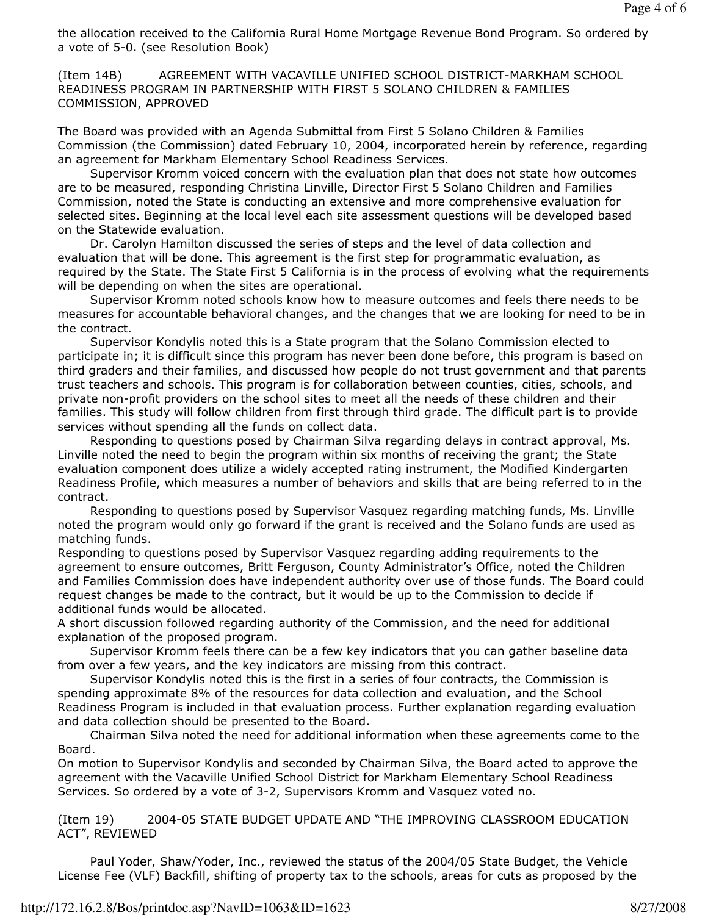the allocation received to the California Rural Home Mortgage Revenue Bond Program. So ordered by a vote of 5-0. (see Resolution Book)

(Item 14B) AGREEMENT WITH VACAVILLE UNIFIED SCHOOL DISTRICT-MARKHAM SCHOOL READINESS PROGRAM IN PARTNERSHIP WITH FIRST 5 SOLANO CHILDREN & FAMILIES COMMISSION, APPROVED

The Board was provided with an Agenda Submittal from First 5 Solano Children & Families Commission (the Commission) dated February 10, 2004, incorporated herein by reference, regarding an agreement for Markham Elementary School Readiness Services.

 Supervisor Kromm voiced concern with the evaluation plan that does not state how outcomes are to be measured, responding Christina Linville, Director First 5 Solano Children and Families Commission, noted the State is conducting an extensive and more comprehensive evaluation for selected sites. Beginning at the local level each site assessment questions will be developed based on the Statewide evaluation.

 Dr. Carolyn Hamilton discussed the series of steps and the level of data collection and evaluation that will be done. This agreement is the first step for programmatic evaluation, as required by the State. The State First 5 California is in the process of evolving what the requirements will be depending on when the sites are operational.

 Supervisor Kromm noted schools know how to measure outcomes and feels there needs to be measures for accountable behavioral changes, and the changes that we are looking for need to be in the contract.

 Supervisor Kondylis noted this is a State program that the Solano Commission elected to participate in; it is difficult since this program has never been done before, this program is based on third graders and their families, and discussed how people do not trust government and that parents trust teachers and schools. This program is for collaboration between counties, cities, schools, and private non-profit providers on the school sites to meet all the needs of these children and their families. This study will follow children from first through third grade. The difficult part is to provide services without spending all the funds on collect data.

 Responding to questions posed by Chairman Silva regarding delays in contract approval, Ms. Linville noted the need to begin the program within six months of receiving the grant; the State evaluation component does utilize a widely accepted rating instrument, the Modified Kindergarten Readiness Profile, which measures a number of behaviors and skills that are being referred to in the contract.

 Responding to questions posed by Supervisor Vasquez regarding matching funds, Ms. Linville noted the program would only go forward if the grant is received and the Solano funds are used as matching funds.

Responding to questions posed by Supervisor Vasquez regarding adding requirements to the agreement to ensure outcomes, Britt Ferguson, County Administrator's Office, noted the Children and Families Commission does have independent authority over use of those funds. The Board could request changes be made to the contract, but it would be up to the Commission to decide if additional funds would be allocated.

A short discussion followed regarding authority of the Commission, and the need for additional explanation of the proposed program.

 Supervisor Kromm feels there can be a few key indicators that you can gather baseline data from over a few years, and the key indicators are missing from this contract.

 Supervisor Kondylis noted this is the first in a series of four contracts, the Commission is spending approximate 8% of the resources for data collection and evaluation, and the School Readiness Program is included in that evaluation process. Further explanation regarding evaluation and data collection should be presented to the Board.

 Chairman Silva noted the need for additional information when these agreements come to the Board.

On motion to Supervisor Kondylis and seconded by Chairman Silva, the Board acted to approve the agreement with the Vacaville Unified School District for Markham Elementary School Readiness Services. So ordered by a vote of 3-2, Supervisors Kromm and Vasquez voted no.

(Item 19) 2004-05 STATE BUDGET UPDATE AND "THE IMPROVING CLASSROOM EDUCATION ACT", REVIEWED

 Paul Yoder, Shaw/Yoder, Inc., reviewed the status of the 2004/05 State Budget, the Vehicle License Fee (VLF) Backfill, shifting of property tax to the schools, areas for cuts as proposed by the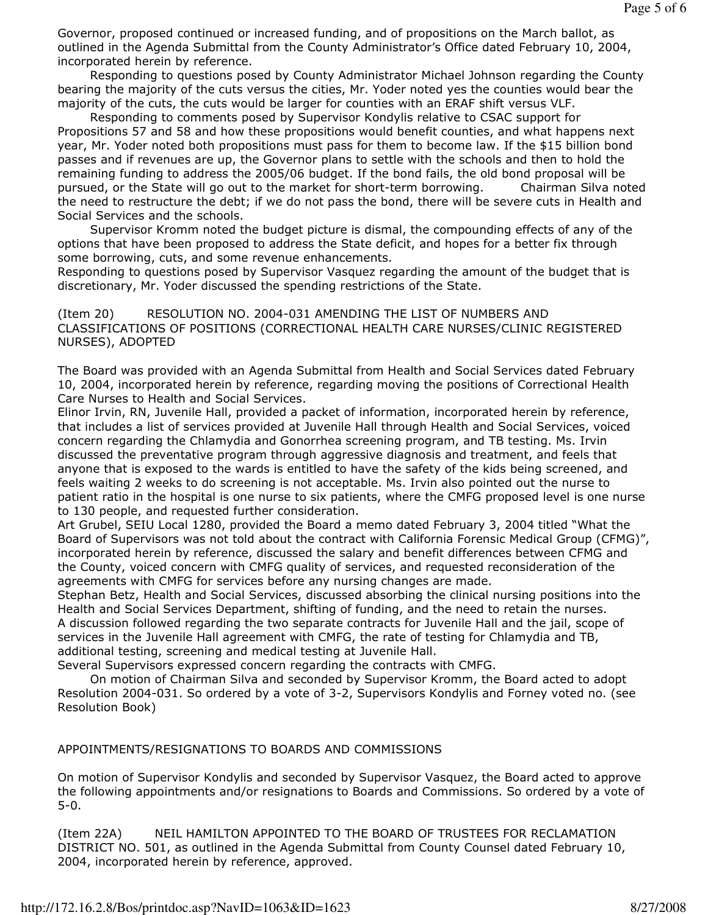Governor, proposed continued or increased funding, and of propositions on the March ballot, as outlined in the Agenda Submittal from the County Administrator's Office dated February 10, 2004, incorporated herein by reference.

 Responding to questions posed by County Administrator Michael Johnson regarding the County bearing the majority of the cuts versus the cities, Mr. Yoder noted yes the counties would bear the majority of the cuts, the cuts would be larger for counties with an ERAF shift versus VLF.

 Responding to comments posed by Supervisor Kondylis relative to CSAC support for Propositions 57 and 58 and how these propositions would benefit counties, and what happens next year, Mr. Yoder noted both propositions must pass for them to become law. If the \$15 billion bond passes and if revenues are up, the Governor plans to settle with the schools and then to hold the remaining funding to address the 2005/06 budget. If the bond fails, the old bond proposal will be pursued, or the State will go out to the market for short-term borrowing. Chairman Silva noted the need to restructure the debt; if we do not pass the bond, there will be severe cuts in Health and Social Services and the schools.

 Supervisor Kromm noted the budget picture is dismal, the compounding effects of any of the options that have been proposed to address the State deficit, and hopes for a better fix through some borrowing, cuts, and some revenue enhancements.

Responding to questions posed by Supervisor Vasquez regarding the amount of the budget that is discretionary, Mr. Yoder discussed the spending restrictions of the State.

(Item 20) RESOLUTION NO. 2004-031 AMENDING THE LIST OF NUMBERS AND CLASSIFICATIONS OF POSITIONS (CORRECTIONAL HEALTH CARE NURSES/CLINIC REGISTERED NURSES), ADOPTED

The Board was provided with an Agenda Submittal from Health and Social Services dated February 10, 2004, incorporated herein by reference, regarding moving the positions of Correctional Health Care Nurses to Health and Social Services.

Elinor Irvin, RN, Juvenile Hall, provided a packet of information, incorporated herein by reference, that includes a list of services provided at Juvenile Hall through Health and Social Services, voiced concern regarding the Chlamydia and Gonorrhea screening program, and TB testing. Ms. Irvin discussed the preventative program through aggressive diagnosis and treatment, and feels that anyone that is exposed to the wards is entitled to have the safety of the kids being screened, and feels waiting 2 weeks to do screening is not acceptable. Ms. Irvin also pointed out the nurse to patient ratio in the hospital is one nurse to six patients, where the CMFG proposed level is one nurse to 130 people, and requested further consideration.

Art Grubel, SEIU Local 1280, provided the Board a memo dated February 3, 2004 titled "What the Board of Supervisors was not told about the contract with California Forensic Medical Group (CFMG)", incorporated herein by reference, discussed the salary and benefit differences between CFMG and the County, voiced concern with CMFG quality of services, and requested reconsideration of the agreements with CMFG for services before any nursing changes are made.

Stephan Betz, Health and Social Services, discussed absorbing the clinical nursing positions into the Health and Social Services Department, shifting of funding, and the need to retain the nurses. A discussion followed regarding the two separate contracts for Juvenile Hall and the jail, scope of services in the Juvenile Hall agreement with CMFG, the rate of testing for Chlamydia and TB, additional testing, screening and medical testing at Juvenile Hall.

Several Supervisors expressed concern regarding the contracts with CMFG.

 On motion of Chairman Silva and seconded by Supervisor Kromm, the Board acted to adopt Resolution 2004-031. So ordered by a vote of 3-2, Supervisors Kondylis and Forney voted no. (see Resolution Book)

#### APPOINTMENTS/RESIGNATIONS TO BOARDS AND COMMISSIONS

On motion of Supervisor Kondylis and seconded by Supervisor Vasquez, the Board acted to approve the following appointments and/or resignations to Boards and Commissions. So ordered by a vote of 5-0.

(Item 22A) NEIL HAMILTON APPOINTED TO THE BOARD OF TRUSTEES FOR RECLAMATION DISTRICT NO. 501, as outlined in the Agenda Submittal from County Counsel dated February 10, 2004, incorporated herein by reference, approved.